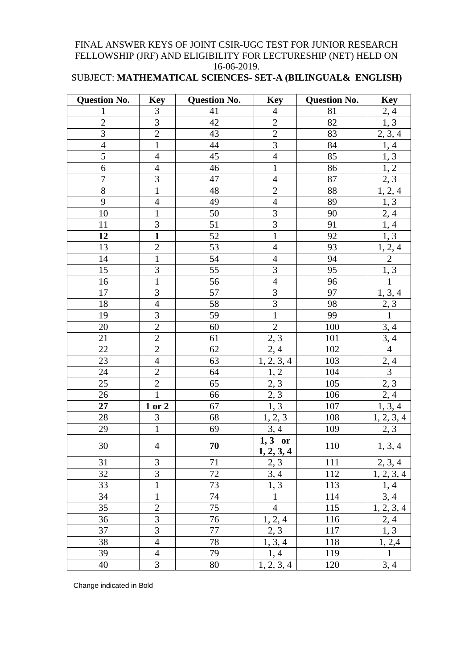### FINAL ANSWER KEYS OF JOINT CSIR-UGC TEST FOR JUNIOR RESEARCH FELLOWSHIP (JRF) AND ELIGIBILITY FOR LECTURESHIP (NET) HELD ON 16-06-2019.

# SUBJECT: **MATHEMATICAL SCIENCES- SET-A (BILINGUAL& ENGLISH)**

| <b>Question No.</b> | <b>Key</b>     | <b>Question No.</b> | <b>Key</b>              | <b>Question No.</b> | <b>Key</b>                  |
|---------------------|----------------|---------------------|-------------------------|---------------------|-----------------------------|
| 1                   | $\mathfrak{Z}$ | 41                  | $\overline{4}$          | 81                  | 2,4                         |
| $\overline{2}$      | 3              | 42                  | $\overline{2}$          | 82                  | $\overline{1,3}$            |
| $\overline{3}$      | $\overline{2}$ | 43                  | $\overline{2}$          | 83                  | 2, 3, 4                     |
| $\overline{4}$      | $\mathbf{1}$   | 44                  | $\overline{3}$          | 84                  | 1, 4                        |
| 5                   | $\overline{4}$ | 45                  | $\overline{4}$          | 85                  | 1, 3                        |
| $\overline{6}$      | $\overline{4}$ | 46                  | $\mathbf{1}$            | 86                  | 1, 2                        |
| $\overline{7}$      | 3              | 47                  | $\overline{4}$          | 87                  | 2, 3                        |
| 8                   | $\mathbf{1}$   | 48                  | $\sqrt{2}$              | 88                  | 1, 2, 4                     |
| 9                   | $\overline{4}$ | 49                  | $\overline{4}$          | 89                  | 1, 3                        |
| 10                  | $\mathbf{1}$   | 50                  | 3                       | 90                  | 2,4                         |
| 11                  | 3              | 51                  | $\mathfrak{Z}$          | 91                  | 1, 4                        |
| 12                  | $\mathbf{1}$   | 52                  | $\mathbf{1}$            | 92                  | 1, 3                        |
| 13                  | $\overline{2}$ | 53                  | $\overline{4}$          | 93                  | 1, 2, 4                     |
| 14                  | $\mathbf{1}$   | 54                  | $\overline{4}$          | 94                  | $\overline{2}$              |
| 15                  | 3              | 55                  | $\overline{3}$          | 95                  | 1, 3                        |
| 16                  | $\mathbf{1}$   | 56                  | $\overline{4}$          | 96                  | $\mathbf{1}$                |
| 17                  | 3              | 57                  | $\overline{3}$          | 97                  | 1, 3, 4                     |
| 18                  | $\overline{4}$ | 58                  | $\overline{3}$          | 98                  | 2, 3                        |
| 19                  | $\overline{3}$ | 59                  | $\mathbf{1}$            | 99                  | $\mathbf{1}$                |
| 20                  | $\overline{2}$ | 60                  | $\overline{2}$          | 100                 | 3, 4                        |
| 21                  | $\overline{c}$ | 61                  | 2, 3                    | 101                 | 3, 4                        |
| $22\,$              | $\mathbf{2}$   | 62                  | 2,4                     | 102                 | $\overline{4}$              |
| 23                  | $\overline{4}$ | 63                  | $\overline{1, 2, 3, 4}$ | 103                 | 2,4                         |
| 24                  | $\overline{2}$ | 64                  | 1, 2                    | 104                 | 3                           |
| 25                  | $\mathbf{2}$   | 65                  | 2, 3                    | 105                 | 2, 3                        |
| 26                  | $\mathbf{1}$   | 66                  | 2, 3                    | 106                 | 2,4                         |
| 27                  | 1 or 2         | 67                  | $\overline{1,3}$        | 107                 | $\frac{1}{1, 3, 4}$         |
| 28                  | 3              | 68                  | 1, 2, 3                 | 108                 | 1, 2, 3, 4                  |
| 29                  | $\mathbf{1}$   | 69                  | 3, 4                    | 109                 | 2, 3                        |
| 30                  | $\overline{4}$ | 70                  | $1, 3$ or               | 110                 | 1, 3, 4                     |
|                     |                |                     | 1, 2, 3, 4              |                     |                             |
| 31                  | 3              | 71                  | 2, 3                    | 111                 | 2, 3, 4                     |
| 32                  | $\mathfrak{Z}$ | 72                  | 3, 4                    | 112                 | 1, 2, 3, 4                  |
| 33                  | $\mathbf{1}$   | 73                  | 1, 3                    | 113                 | 1,4                         |
| 34                  | $\mathbf{1}$   | 74                  | $\mathbf{1}$            | 114                 | 3, 4                        |
| 35                  | $\overline{2}$ | 75                  | $\overline{4}$          | 115                 | 1, 2, 3, 4                  |
| 36                  | $\overline{3}$ | 76                  | 1, 2, 4                 | 116                 | 2,4                         |
| 37                  | $\overline{3}$ | 77                  | 2, 3                    | 117                 | $\overline{1,\overline{3}}$ |
| 38                  | $\overline{4}$ | 78                  | $\overline{1, 3, 4}$    | 118                 | 1, 2, 4                     |
| 39                  | $\overline{4}$ | 79                  | 1,4                     | 119                 | $\mathbf{1}$                |
| 40                  | $\overline{3}$ | 80                  | 1, 2, 3, 4              | 120                 | 3, 4                        |

Change indicated in Bold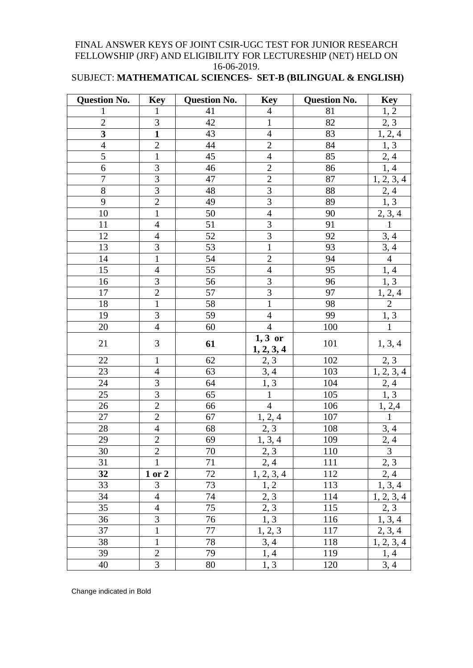#### FINAL ANSWER KEYS OF JOINT CSIR-UGC TEST FOR JUNIOR RESEARCH FELLOWSHIP (JRF) AND ELIGIBILITY FOR LECTURESHIP (NET) HELD ON 16-06-2019.

# SUBJECT: **MATHEMATICAL SCIENCES- SET-B (BILINGUAL & ENGLISH)**

| <b>Question No.</b>     | <b>Key</b>               | <b>Question No.</b> | <b>Key</b>              | <b>Question No.</b> | <b>Key</b>     |
|-------------------------|--------------------------|---------------------|-------------------------|---------------------|----------------|
|                         | 1                        | 41                  | $\overline{4}$          | 81                  | 1, 2           |
| $\overline{2}$          | 3                        | 42                  | $\mathbf{1}$            | 82                  | $\frac{2}{3}$  |
| $\overline{\mathbf{3}}$ | $\mathbf{1}$             | 43                  | $\overline{4}$          | 83                  | 1, 2, 4        |
| $\overline{4}$          | $\overline{2}$           | 44                  | $\sqrt{2}$              | 84                  | 1, 3           |
| 5                       | $\mathbf{1}$             | 45                  | $\overline{4}$          | 85                  | 2,4            |
| $\overline{6}$          | 3                        | 46                  | $\overline{2}$          | 86                  | 1, 4           |
| $\overline{7}$          | $\overline{3}$           | 47                  | $\overline{2}$          | 87                  | 1, 2, 3, 4     |
| $\overline{8}$          | $\overline{3}$           | 48                  | $\overline{3}$          | 88                  | 2,4            |
| 9                       | $\overline{2}$           | 49                  | $\overline{\mathbf{3}}$ | 89                  | 1, 3           |
| 10                      | $\mathbf{1}$             | 50                  | $\overline{4}$          | 90                  | 2, 3, 4        |
| 11                      | $\overline{4}$           | 51                  | $\overline{3}$          | 91                  | $\mathbf{1}$   |
| 12                      | $\overline{\mathcal{L}}$ | 52                  | $\overline{3}$          | 92                  | 3,4            |
| 13                      | 3                        | 53                  | $\mathbf{1}$            | 93                  | 3, 4           |
| 14                      | $\mathbf{1}$             | 54                  | $\sqrt{2}$              | 94                  | $\overline{4}$ |
| 15                      | $\overline{4}$           | 55                  | $\overline{4}$          | 95                  | 1, 4           |
| 16                      | 3                        | 56                  | $\mathfrak{Z}$          | 96                  | 1, 3           |
| 17                      | $\overline{2}$           | 57                  | 3                       | 97                  | 1, 2, 4        |
| 18                      | $\mathbf{1}$             | 58                  | $\mathbf{1}$            | 98                  | $\overline{2}$ |
| 19                      | 3                        | 59                  | $\overline{4}$          | 99                  | 1, 3           |
| 20                      | $\overline{4}$           | 60                  | $\overline{4}$          | 100                 | $\mathbf{1}$   |
| 21                      | 3                        | 61                  | $1, 3$ or<br>1, 2, 3, 4 | 101                 | 1, 3, 4        |
| 22                      | $\mathbf{1}$             | 62                  | 2, 3                    | 102                 | 2, 3           |
| 23                      | $\overline{\mathcal{L}}$ | 63                  | 3, 4                    | 103                 | 1, 2, 3, 4     |
| 24                      | 3                        | 64                  | 1, 3                    | 104                 | 2,4            |
| 25                      | 3                        | 65                  | $\mathbf 1$             | 105                 | 1, 3           |
| 26                      | $\overline{2}$           | 66                  | $\overline{4}$          | 106                 | 1, 2,4         |
| 27                      | $\overline{2}$           | 67                  | 1, 2, 4                 | 107                 | $\overline{1}$ |
| 28                      | $\overline{4}$           | 68                  | $\overline{2,3}$        | 108                 | 3,4            |
| 29                      | $\overline{2}$           | 69                  | 1, 3, 4                 | 109                 | 2, 4           |
| 30                      | $\overline{2}$           | 70                  | $\sqrt{2, 3}$           | 110                 | 3              |
| 31                      | $\mathbf{1}$             | 71                  | 2,4                     | 111                 | 2, 3           |
| 32                      | 1 or 2                   | 72                  | 1, 2, 3, 4              | 112                 | 2,4            |
| 33                      | 3                        | 73                  | 1, 2                    | 113                 | 1, 3, 4        |
| 34                      | $\overline{4}$           | 74                  | 2, 3                    | 114                 | 1, 2, 3, 4     |
| 35                      | $\overline{4}$           | 75                  | 2, 3                    | 115                 | 2, 3           |
| 36                      | 3                        | 76                  | 1, 3                    | 116                 | 1, 3, 4        |
| 37                      | $\mathbf{1}$             | 77                  | 1, 2, 3                 | 117                 | 2, 3, 4        |
| 38                      | $\mathbf{1}$             | 78                  | 3, 4                    | 118                 | 1, 2, 3, 4     |
| 39                      | $\overline{2}$           | 79                  | 1, 4                    | 119                 | 1, 4           |
| 40                      | 3                        | 80                  | 1, 3                    | 120                 | 3,4            |

Change indicated in Bold